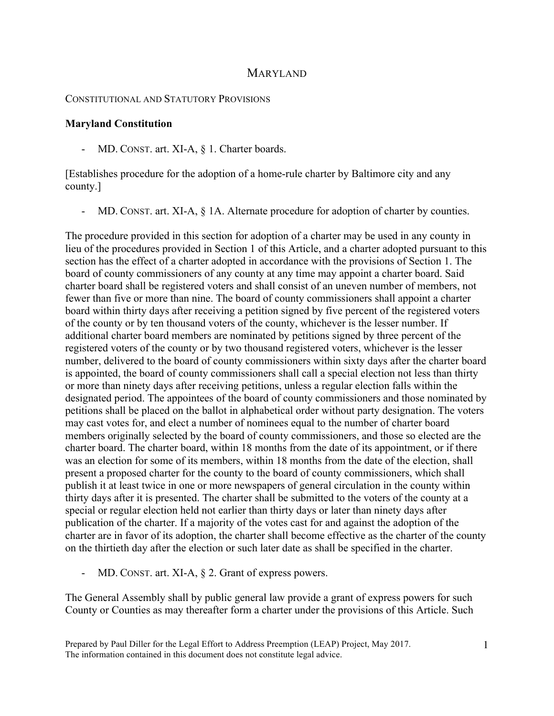# MARYLAND

### CONSTITUTIONAL AND STATUTORY PROVISIONS

## **Maryland Constitution**

- MD. CONST. art. XI-A, § 1. Charter boards.

[Establishes procedure for the adoption of a home-rule charter by Baltimore city and any county.]

- MD. CONST. art. XI-A, § 1A. Alternate procedure for adoption of charter by counties.

The procedure provided in this section for adoption of a charter may be used in any county in lieu of the procedures provided in Section 1 of this Article, and a charter adopted pursuant to this section has the effect of a charter adopted in accordance with the provisions of Section 1. The board of county commissioners of any county at any time may appoint a charter board. Said charter board shall be registered voters and shall consist of an uneven number of members, not fewer than five or more than nine. The board of county commissioners shall appoint a charter board within thirty days after receiving a petition signed by five percent of the registered voters of the county or by ten thousand voters of the county, whichever is the lesser number. If additional charter board members are nominated by petitions signed by three percent of the registered voters of the county or by two thousand registered voters, whichever is the lesser number, delivered to the board of county commissioners within sixty days after the charter board is appointed, the board of county commissioners shall call a special election not less than thirty or more than ninety days after receiving petitions, unless a regular election falls within the designated period. The appointees of the board of county commissioners and those nominated by petitions shall be placed on the ballot in alphabetical order without party designation. The voters may cast votes for, and elect a number of nominees equal to the number of charter board members originally selected by the board of county commissioners, and those so elected are the charter board. The charter board, within 18 months from the date of its appointment, or if there was an election for some of its members, within 18 months from the date of the election, shall present a proposed charter for the county to the board of county commissioners, which shall publish it at least twice in one or more newspapers of general circulation in the county within thirty days after it is presented. The charter shall be submitted to the voters of the county at a special or regular election held not earlier than thirty days or later than ninety days after publication of the charter. If a majority of the votes cast for and against the adoption of the charter are in favor of its adoption, the charter shall become effective as the charter of the county on the thirtieth day after the election or such later date as shall be specified in the charter.

- MD. CONST. art. XI-A, § 2. Grant of express powers.

The General Assembly shall by public general law provide a grant of express powers for such County or Counties as may thereafter form a charter under the provisions of this Article. Such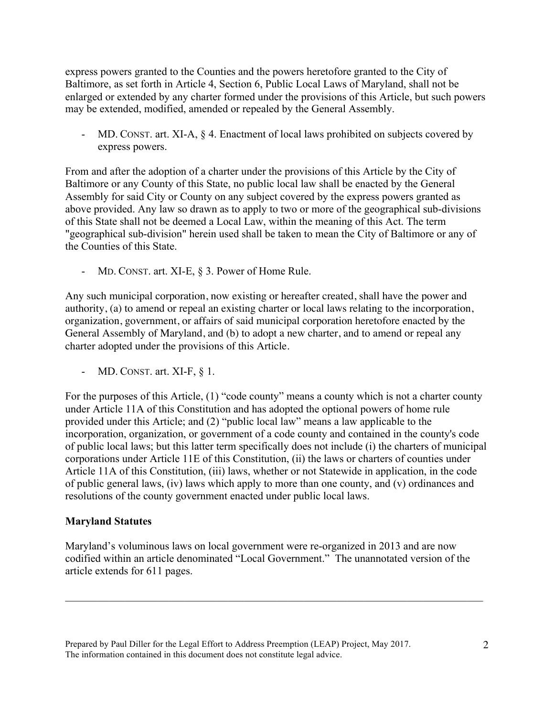express powers granted to the Counties and the powers heretofore granted to the City of Baltimore, as set forth in Article 4, Section 6, Public Local Laws of Maryland, shall not be enlarged or extended by any charter formed under the provisions of this Article, but such powers may be extended, modified, amended or repealed by the General Assembly.

MD. CONST. art. XI-A, § 4. Enactment of local laws prohibited on subjects covered by express powers.

From and after the adoption of a charter under the provisions of this Article by the City of Baltimore or any County of this State, no public local law shall be enacted by the General Assembly for said City or County on any subject covered by the express powers granted as above provided. Any law so drawn as to apply to two or more of the geographical sub-divisions of this State shall not be deemed a Local Law, within the meaning of this Act. The term "geographical sub-division" herein used shall be taken to mean the City of Baltimore or any of the Counties of this State.

- MD. CONST. art. XI-E, § 3. Power of Home Rule.

Any such municipal corporation, now existing or hereafter created, shall have the power and authority, (a) to amend or repeal an existing charter or local laws relating to the incorporation, organization, government, or affairs of said municipal corporation heretofore enacted by the General Assembly of Maryland, and (b) to adopt a new charter, and to amend or repeal any charter adopted under the provisions of this Article.

MD. CONST. art.  $XI-F$ , § 1.

For the purposes of this Article, (1) "code county" means a county which is not a charter county under Article 11A of this Constitution and has adopted the optional powers of home rule provided under this Article; and (2) "public local law" means a law applicable to the incorporation, organization, or government of a code county and contained in the county's code of public local laws; but this latter term specifically does not include (i) the charters of municipal corporations under Article 11E of this Constitution, (ii) the laws or charters of counties under Article 11A of this Constitution, (iii) laws, whether or not Statewide in application, in the code of public general laws, (iv) laws which apply to more than one county, and (v) ordinances and resolutions of the county government enacted under public local laws.

## **Maryland Statutes**

Maryland's voluminous laws on local government were re-organized in 2013 and are now codified within an article denominated "Local Government." The unannotated version of the article extends for 611 pages.

 $\mathcal{L}_\mathcal{L} = \{ \mathcal{L}_\mathcal{L} = \{ \mathcal{L}_\mathcal{L} = \{ \mathcal{L}_\mathcal{L} = \{ \mathcal{L}_\mathcal{L} = \{ \mathcal{L}_\mathcal{L} = \{ \mathcal{L}_\mathcal{L} = \{ \mathcal{L}_\mathcal{L} = \{ \mathcal{L}_\mathcal{L} = \{ \mathcal{L}_\mathcal{L} = \{ \mathcal{L}_\mathcal{L} = \{ \mathcal{L}_\mathcal{L} = \{ \mathcal{L}_\mathcal{L} = \{ \mathcal{L}_\mathcal{L} = \{ \mathcal{L}_\mathcal{$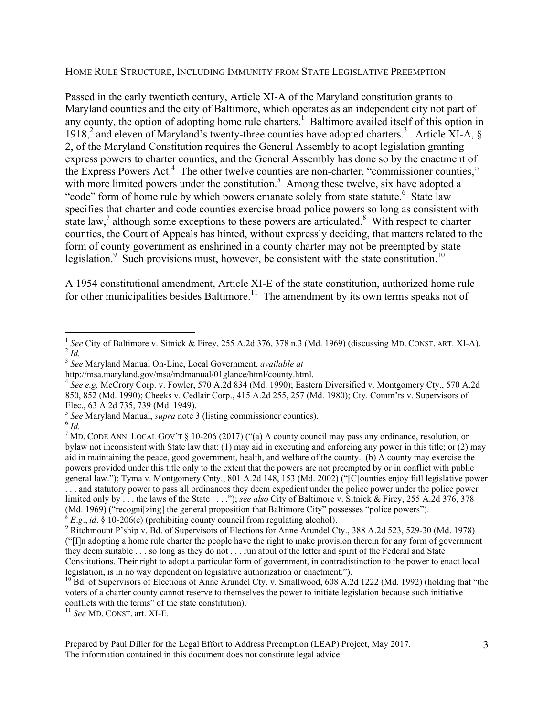### HOME RULE STRUCTURE, INCLUDING IMMUNITY FROM STATE LEGISLATIVE PREEMPTION

Passed in the early twentieth century, Article XI-A of the Maryland constitution grants to Maryland counties and the city of Baltimore, which operates as an independent city not part of any county, the option of adopting home rule charters.<sup>1</sup> Baltimore availed itself of this option in 1918,<sup>2</sup> and eleven of Maryland's twenty-three counties have adopted charters.<sup>3</sup> Article XI-A, § 2, of the Maryland Constitution requires the General Assembly to adopt legislation granting express powers to charter counties, and the General Assembly has done so by the enactment of the Express Powers Act. 4 The other twelve counties are non-charter, "commissioner counties," with more limited powers under the constitution.<sup>5</sup> Among these twelve, six have adopted a "code" form of home rule by which powers emanate solely from state statute.<sup>6</sup> State law specifies that charter and code counties exercise broad police powers so long as consistent with state law,<sup>7</sup> although some exceptions to these powers are articulated.<sup>8</sup> With respect to charter counties, the Court of Appeals has hinted, without expressly deciding, that matters related to the form of county government as enshrined in a county charter may not be preempted by state legislation.<sup>9</sup> Such provisions must, however, be consistent with the state constitution.<sup>10</sup>

A 1954 constitutional amendment, Article XI-E of the state constitution, authorized home rule for other municipalities besides Baltimore.<sup>11</sup> The amendment by its own terms speaks not of

<sup>1</sup> *See* City of Baltimore v. Sitnick & Firey, 255 A.2d 376, 378 n.3 (Md. 1969) (discussing MD. CONST. ART. XI-A). <sup>2</sup> *Id.*

<sup>3</sup> *See* Maryland Manual On-Line, Local Government, *available at* 

http://msa.maryland.gov/msa/mdmanual/01glance/html/county.html.

<sup>4</sup> *See e.g.* McCrory Corp. v. Fowler, 570 A.2d 834 (Md. 1990); Eastern Diversified v. Montgomery Cty., 570 A.2d 850, 852 (Md. 1990); Cheeks v. Cedlair Corp., 415 A.2d 255, 257 (Md. 1980); Cty. Comm'rs v. Supervisors of Elec., 63 A.2d 735, 739 (Md. 1949).

<sup>5</sup> *See* Maryland Manual, *supra* note 3 (listing commissioner counties). <sup>6</sup> *Id.*

<sup>&</sup>lt;sup>7</sup> MD. CODE ANN. LOCAL GOV'T § 10-206 (2017) ("(a) A county council may pass any ordinance, resolution, or bylaw not inconsistent with State law that: (1) may aid in executing and enforcing any power in this title; or (2) may aid in maintaining the peace, good government, health, and welfare of the county. (b) A county may exercise the powers provided under this title only to the extent that the powers are not preempted by or in conflict with public general law."); Tyma v. Montgomery Cnty., 801 A.2d 148, 153 (Md. 2002) ("[C]ounties enjoy full legislative power . . . and statutory power to pass all ordinances they deem expedient under the police power under the police power limited only by . . . the laws of the State . . . ."); *see also* City of Baltimore v. Sitnick & Firey, 255 A.2d 376, 378 (Md. 1969) ("recogni[zing] the general proposition that Baltimore City" possesses "police powers").

 $8 E.g., id. \S$  10-206(c) (prohibiting county council from regulating alcohol).

<sup>&</sup>lt;sup>9</sup> Ritchmount P'ship v. Bd. of Supervisors of Elections for Anne Arundel Cty., 388 A.2d 523, 529-30 (Md. 1978) ("[I]n adopting a home rule charter the people have the right to make provision therein for any form of government they deem suitable . . . so long as they do not . . . run afoul of the letter and spirit of the Federal and State Constitutions. Their right to adopt a particular form of government, in contradistinction to the power to enact local legislation, is in no way dependent on legislative authorization or enactment.").

<sup>&</sup>lt;sup>10</sup> Bd. of Supervisors of Elections of Anne Arundel Cty. v. Smallwood, 608 A.2d 1222 (Md. 1992) (holding that "the voters of a charter county cannot reserve to themselves the power to initiate legislation because such initiative conflicts with the terms" of the state constitution).

<sup>11</sup> *See* MD. CONST. art. XI-E.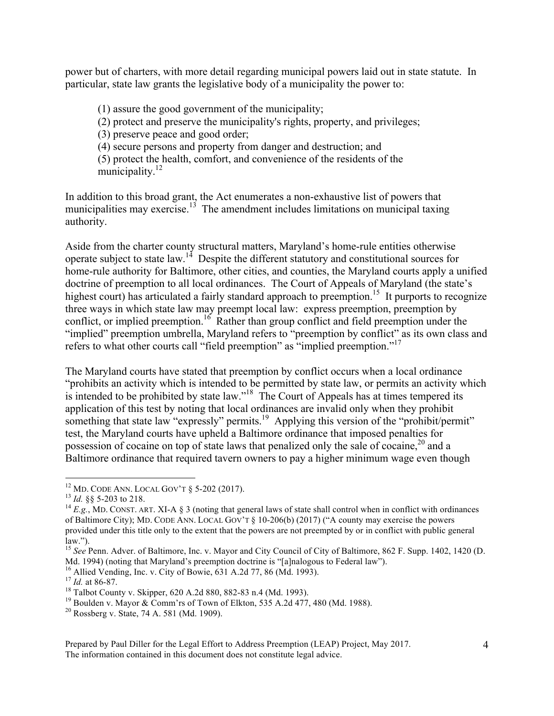power but of charters, with more detail regarding municipal powers laid out in state statute. In particular, state law grants the legislative body of a municipality the power to:

(1) assure the good government of the municipality; (2) protect and preserve the municipality's rights, property, and privileges; (3) preserve peace and good order; (4) secure persons and property from danger and destruction; and (5) protect the health, comfort, and convenience of the residents of the municipality. $^{12}$ 

In addition to this broad grant, the Act enumerates a non-exhaustive list of powers that municipalities may exercise.<sup>13</sup> The amendment includes limitations on municipal taxing authority.

Aside from the charter county structural matters, Maryland's home-rule entities otherwise operate subject to state law.<sup>14</sup> Despite the different statutory and constitutional sources for home-rule authority for Baltimore, other cities, and counties, the Maryland courts apply a unified doctrine of preemption to all local ordinances. The Court of Appeals of Maryland (the state's highest court) has articulated a fairly standard approach to preemption.<sup>15</sup> It purports to recognize three ways in which state law may preempt local law: express preemption, preemption by conflict, or implied preemption.<sup>16</sup> Rather than group conflict and field preemption under the "implied" preemption umbrella, Maryland refers to "preemption by conflict" as its own class and refers to what other courts call "field preemption" as "implied preemption."<sup>17</sup>

The Maryland courts have stated that preemption by conflict occurs when a local ordinance "prohibits an activity which is intended to be permitted by state law, or permits an activity which is intended to be prohibited by state law."<sup>18</sup> The Court of Appeals has at times tempered its application of this test by noting that local ordinances are invalid only when they prohibit something that state law "expressly" permits.<sup>19</sup> Applying this version of the "prohibit/permit" test, the Maryland courts have upheld a Baltimore ordinance that imposed penalties for possession of cocaine on top of state laws that penalized only the sale of cocaine,  $^{20}$  and a Baltimore ordinance that required tavern owners to pay a higher minimum wage even though

<sup>&</sup>lt;sup>12</sup> MD. CODE ANN. LOCAL GOV'T § 5-202 (2017).<br><sup>13</sup> *Id.* §§ 5-203 to 218.<br><sup>14</sup> *E.g.*, MD. CONST. ART. XI-A § 3 (noting that general laws of state shall control when in conflict with ordinances of Baltimore City); MD. CODE ANN. LOCAL GOV'T § 10-206(b) (2017) ("A county may exercise the powers provided under this title only to the extent that the powers are not preempted by or in conflict with public general law."). <sup>15</sup> *See* Penn. Adver. of Baltimore, Inc. v. Mayor and City Council of City of Baltimore, 862 F. Supp. 1402, 1420 (D.

Md. 1994) (noting that Maryland's preemption doctrine is "[a]nalogous to Federal law"). <sup>16</sup> Allied Vending, Inc. v. City of Bowie, 631 A.2d 77, 86 (Md. 1993).

<sup>&</sup>lt;sup>17</sup> *Id.* at 86-87.<br><sup>18</sup> Talbot County v. Skipper, 620 A.2d 880, 882-83 n.4 (Md. 1993).<br><sup>19</sup> Boulden v. Mayor & Comm'rs of Town of Elkton, 535 A.2d 477, 480 (Md. 1988).

<sup>20</sup> Rossberg v. State, 74 A. 581 (Md. 1909).

Prepared by Paul Diller for the Legal Effort to Address Preemption (LEAP) Project, May 2017. The information contained in this document does not constitute legal advice.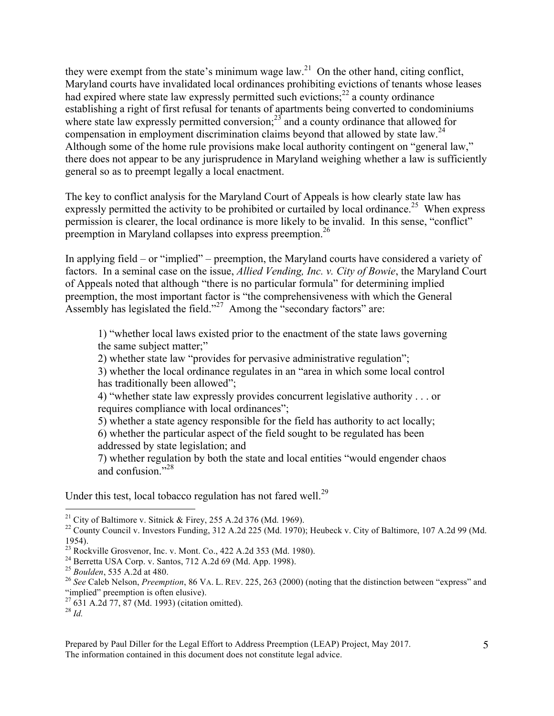they were exempt from the state's minimum wage law.<sup>21</sup> On the other hand, citing conflict, Maryland courts have invalidated local ordinances prohibiting evictions of tenants whose leases had expired where state law expressly permitted such evictions; $^{22}$  a county ordinance establishing a right of first refusal for tenants of apartments being converted to condominiums where state law expressly permitted conversion;<sup>23</sup> and a county ordinance that allowed for compensation in employment discrimination claims beyond that allowed by state law.24 Although some of the home rule provisions make local authority contingent on "general law," there does not appear to be any jurisprudence in Maryland weighing whether a law is sufficiently general so as to preempt legally a local enactment.

The key to conflict analysis for the Maryland Court of Appeals is how clearly state law has expressly permitted the activity to be prohibited or curtailed by local ordinance.<sup>25</sup> When express permission is clearer, the local ordinance is more likely to be invalid. In this sense, "conflict" preemption in Maryland collapses into express preemption.<sup>26</sup>

In applying field – or "implied" – preemption, the Maryland courts have considered a variety of factors. In a seminal case on the issue, *Allied Vending, Inc. v. City of Bowie*, the Maryland Court of Appeals noted that although "there is no particular formula" for determining implied preemption, the most important factor is "the comprehensiveness with which the General Assembly has legislated the field."<sup>27</sup> Among the "secondary factors" are:

1) "whether local laws existed prior to the enactment of the state laws governing the same subject matter;"

2) whether state law "provides for pervasive administrative regulation";

3) whether the local ordinance regulates in an "area in which some local control has traditionally been allowed";

4) "whether state law expressly provides concurrent legislative authority . . . or requires compliance with local ordinances";

5) whether a state agency responsible for the field has authority to act locally;

6) whether the particular aspect of the field sought to be regulated has been addressed by state legislation; and

7) whether regulation by both the state and local entities "would engender chaos and confusion. $^{328}$ 

Under this test, local tobacco regulation has not fared well. $^{29}$ 

<sup>&</sup>lt;sup>21</sup> City of Baltimore v. Sitnick & Firey, 255 A.2d 376 (Md. 1969).<br><sup>22</sup> County Council v. Investors Funding, 312 A.2d 225 (Md. 1970); Heubeck v. City of Baltimore, 107 A.2d 99 (Md. 1954).

 $^{23}$  Rockville Grosvenor, Inc. v. Mont. Co., 422 A.2d 353 (Md. 1980).

<sup>&</sup>lt;sup>24</sup> Berretta USA Corp. v. Santos, 712 A.2d 69 (Md. App. 1998).<br><sup>25</sup> Boulden, 535 A.2d at 480.<br><sup>26</sup> See Caleb Nelson, *Preemption*, 86 VA. L. REV. 225, 263 (2000) (noting that the distinction between "express" and "implied" preemption is often elusive).

 $27$  631 A.2d 77, 87 (Md. 1993) (citation omitted).

<sup>28</sup> *Id.*